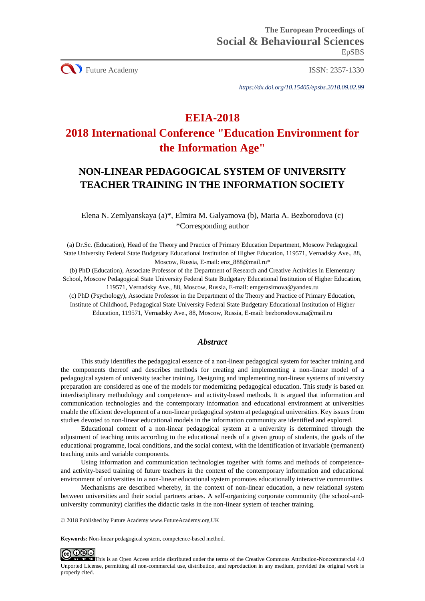CU Future Academy ISSN: 2357-1330

*https://dx.doi.org/10.15405/epsbs.2018.09.02.99*

# **EEIA-2018**

# **2018 International Conference "Education Environment for the Information Age"**

# **NON-LINEAR PEDAGOGICAL SYSTEM OF UNIVERSITY TEACHER TRAINING IN THE INFORMATION SOCIETY**

Elena N. Zemlyanskaya (a)\*, Elmira M. Galyamova (b), Maria A. Bezborodova (c) \*Corresponding author

(a) Dr.Sc. (Education), Head of the Theory and Practice of Primary Education Department, Moscow Pedagogical State University Federal State Budgetary Educational Institution of Higher Education, 119571, Vernadsky Ave., 88, Moscow, Russia, E-mail: enz\_888@mail.ru\*

(b) PhD (Education), Associate Professor of the Department of Research and Creative Activities in Elementary School, Moscow Pedagogical State University Federal State Budgetary Educational Institution of Higher Education, 119571, Vernadsky Ave., 88, Moscow, Russia, E-mail: emgerasimova@yandex.ru

(c) PhD (Psychology), Associate Professor in the Department of the Theory and Practice of Primary Education, Institute of Childhood, Pedagogical State University Federal State Budgetary Educational Institution of Higher Education, 119571, Vernadsky Ave., 88, Moscow, Russia, E-mail: bezborodova.ma@mail.ru

## *Abstract*

This study identifies the pedagogical essence of a non-linear pedagogical system for teacher training and the components thereof and describes methods for creating and implementing a non-linear model of a pedagogical system of university teacher training. Designing and implementing non-linear systems of university preparation are considered as one of the models for modernizing pedagogical education. This study is based on interdisciplinary methodology and competence- and activity-based methods. It is argued that information and communication technologies and the contemporary information and educational environment at universities enable the efficient development of a non-linear pedagogical system at pedagogical universities. Key issues from studies devoted to non-linear educational models in the information community are identified and explored.

Educational content of a non-linear pedagogical system at a university is determined through the adjustment of teaching units according to the educational needs of a given group of students, the goals of the educational programme, local conditions, and the social context, with the identification of invariable (permanent) teaching units and variable components.

Using information and communication technologies together with forms and methods of competenceand activity-based training of future teachers in the context of the contemporary information and educational environment of universities in a non-linear educational system promotes educationally interactive communities.

Mechanisms are described whereby, in the context of non-linear education, a new relational system between universities and their social partners arises. A self-organizing corporate community (the school-anduniversity community) clarifies the didactic tasks in the non-linear system of teacher training.

© 2018 Published by Future Academy www.FutureAcademy.org.UK

**Keywords:** Non-linear pedagogical system, competence-based method.



**IDED** This is an Open Access article distributed under the terms of the Creative Commons Attribution-Noncommercial 4.0 Unported License, permitting all non-commercial use, distribution, and reproduction in any medium, provided the original work is properly cited.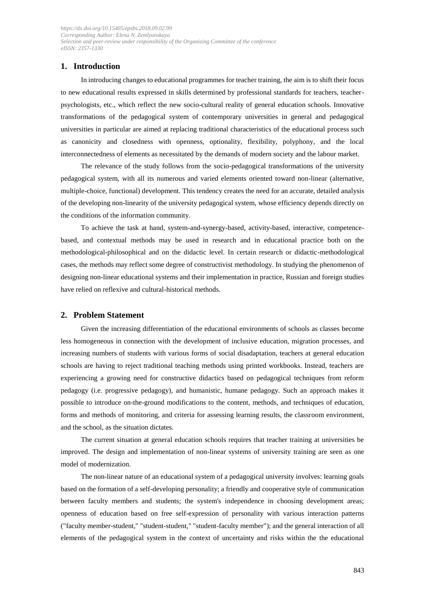## **1. Introduction**

In introducing changes to educational programmes for teacher training, the aim is to shift their focus to new educational results expressed in skills determined by professional standards for teachers, teacherpsychologists, etc., which reflect the new socio-cultural reality of general education schools. Innovative transformations of the pedagogical system of contemporary universities in general and pedagogical universities in particular are aimed at replacing traditional characteristics of the educational process such as canonicity and closedness with openness, optionality, flexibility, polyphony, and the local interconnectedness of elements as necessitated by the demands of modern society and the labour market.

The relevance of the study follows from the socio-pedagogical transformations of the university pedagogical system, with all its numerous and varied elements oriented toward non-linear (alternative, multiple-choice, functional) development. This tendency creates the need for an accurate, detailed analysis of the developing non-linearity of the university pedagogical system, whose efficiency depends directly on the conditions of the information community.

To achieve the task at hand, system-and-synergy-based, activity-based, interactive, competencebased, and contextual methods may be used in research and in educational practice both on the methodological-philosophical and on the didactic level. In certain research or didactic-methodological cases, the methods may reflect some degree of constructivist methodology. In studying the phenomenon of designing non-linear educational systems and their implementation in practice, Russian and foreign studies have relied on reflexive and cultural-historical methods.

#### **2. Problem Statement**

Given the increasing differentiation of the educational environments of schools as classes become less homogeneous in connection with the development of inclusive education, migration processes, and increasing numbers of students with various forms of social disadaptation, teachers at general education schools are having to reject traditional teaching methods using printed workbooks. Instead, teachers are experiencing a growing need for constructive didactics based on pedagogical techniques from reform pedagogy (i.e. progressive pedagogy), and humanistic, humane pedagogy. Such an approach makes it possible to introduce on-the-ground modifications to the content, methods, and techniques of education, forms and methods of monitoring, and criteria for assessing learning results, the classroom environment, and the school, as the situation dictates.

The current situation at general education schools requires that teacher training at universities be improved. The design and implementation of non-linear systems of university training are seen as one model of modernization.

The non-linear nature of an educational system of a pedagogical university involves: learning goals based on the formation of a self-developing personality; a friendly and cooperative style of communication between faculty members and students; the system's independence in choosing development areas; openness of education based on free self-expression of personality with various interaction patterns ("faculty member-student," "student-student," "student-faculty member"); and the general interaction of all elements of the pedagogical system in the context of uncertainty and risks within the the educational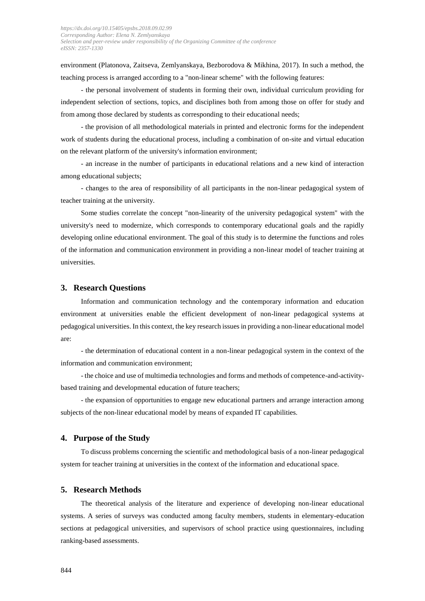environment (Platonova, Zaitseva, Zemlyanskaya, Bezborodova & Mikhina, 2017). In such a method, the teaching process is arranged according to a "non-linear scheme" with the following features:

- the personal involvement of students in forming their own, individual curriculum providing for independent selection of sections, topics, and disciplines both from among those on offer for study and from among those declared by students as corresponding to their educational needs;

- the provision of all methodological materials in printed and electronic forms for the independent work of students during the educational process, including a combination of on-site and virtual education on the relevant platform of the university's information environment;

- an increase in the number of participants in educational relations and a new kind of interaction among educational subjects;

- changes to the area of responsibility of all participants in the non-linear pedagogical system of teacher training at the university.

Some studies correlate the concept "non-linearity of the university pedagogical system" with the university's need to modernize, which corresponds to contemporary educational goals and the rapidly developing online educational environment. The goal of this study is to determine the functions and roles of the information and communication environment in providing a non-linear model of teacher training at universities.

#### **3. Research Questions**

Information and communication technology and the contemporary information and education environment at universities enable the efficient development of non-linear pedagogical systems at pedagogical universities. In this context, the key research issues in providing a non-linear educational model are:

- the determination of educational content in a non-linear pedagogical system in the context of the information and communication environment;

- the choice and use of multimedia technologies and forms and methods of competence-and-activitybased training and developmental education of future teachers;

- the expansion of opportunities to engage new educational partners and arrange interaction among subjects of the non-linear educational model by means of expanded IT capabilities.

#### **4. Purpose of the Study**

To discuss problems concerning the scientific and methodological basis of a non-linear pedagogical system for teacher training at universities in the context of the information and educational space.

#### **5. Research Methods**

The theoretical analysis of the literature and experience of developing non-linear educational systems. A series of surveys was conducted among faculty members, students in elementary-education sections at pedagogical universities, and supervisors of school practice using questionnaires, including ranking-based assessments.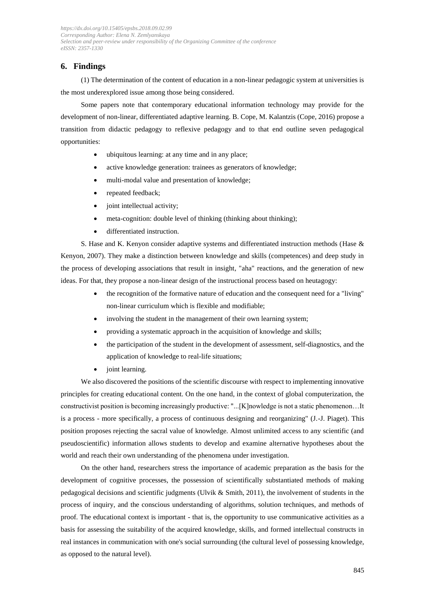## **6. Findings**

(1) The determination of the content of education in a non-linear pedagogic system at universities is the most underexplored issue among those being considered.

Some papers note that contemporary educational information technology may provide for the development of non-linear, differentiated adaptive learning. B. Cope, M. Kalantzis (Cope, 2016) propose a transition from didactic pedagogy to reflexive pedagogy and to that end outline seven pedagogical opportunities:

- ubiquitous learning: at any time and in any place;
- active knowledge generation: trainees as generators of knowledge;
- multi-modal value and presentation of knowledge;
- repeated feedback;
- joint intellectual activity;
- meta-cognition: double level of thinking (thinking about thinking);
- differentiated instruction.

S. Hase and K. Kenyon consider adaptive systems and differentiated instruction methods (Hase & Kenyon, 2007). They make a distinction between knowledge and skills (competences) and deep study in the process of developing associations that result in insight, "aha" reactions, and the generation of new ideas. For that, they propose a non-linear design of the instructional process based on heutagogy:

- the recognition of the formative nature of education and the consequent need for a "living" non-linear curriculum which is flexible and modifiable;
- involving the student in the management of their own learning system;
- providing a systematic approach in the acquisition of knowledge and skills;
- the participation of the student in the development of assessment, self-diagnostics, and the application of knowledge to real-life situations;
- joint learning.

We also discovered the positions of the scientific discourse with respect to implementing innovative principles for creating educational content. On the one hand, in the context of global computerization, the constructivist position is becoming increasingly productive: "...[K]nowledge is not a static phenomenon…It is a process - more specifically, a process of continuous designing and reorganizing" (J.-J. Piaget). This position proposes rejecting the sacral value of knowledge. Almost unlimited access to any scientific (and pseudoscientific) information allows students to develop and examine alternative hypotheses about the world and reach their own understanding of the phenomena under investigation.

On the other hand, researchers stress the importance of academic preparation as the basis for the development of cognitive processes, the possession of scientifically substantiated methods of making pedagogical decisions and scientific judgments (Ulvik & Smith, 2011), the involvement of students in the process of inquiry, and the conscious understanding of algorithms, solution techniques, and methods of proof. The educational context is important - that is, the opportunity to use communicative activities as a basis for assessing the suitability of the acquired knowledge, skills, and formed intellectual constructs in real instances in communication with one's social surrounding (the cultural level of possessing knowledge, as opposed to the natural level).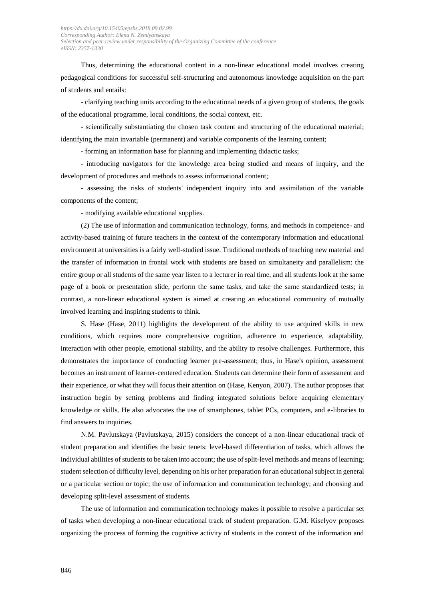Thus, determining the educational content in a non-linear educational model involves creating pedagogical conditions for successful self-structuring and autonomous knowledge acquisition on the part of students and entails:

- clarifying teaching units according to the educational needs of a given group of students, the goals of the educational programme, local conditions, the social context, etc.

- scientifically substantiating the chosen task content and structuring of the educational material; identifying the main invariable (permanent) and variable components of the learning content;

- forming an information base for planning and implementing didactic tasks;

- introducing navigators for the knowledge area being studied and means of inquiry, and the development of procedures and methods to assess informational content;

- assessing the risks of students' independent inquiry into and assimilation of the variable components of the content;

- modifying available educational supplies.

(2) The use of information and communication technology, forms, and methods in competence- and activity-based training of future teachers in the context of the contemporary information and educational environment at universities is a fairly well-studied issue. Traditional methods of teaching new material and the transfer of information in frontal work with students are based on simultaneity and parallelism: the entire group or all students of the same year listen to a lecturer in real time, and all students look at the same page of a book or presentation slide, perform the same tasks, and take the same standardized tests; in contrast, a non-linear educational system is aimed at creating an educational community of mutually involved learning and inspiring students to think.

S. Hase (Hase, 2011) highlights the development of the ability to use acquired skills in new conditions, which requires more comprehensive cognition, adherence to experience, adaptability, interaction with other people, emotional stability, and the ability to resolve challenges. Furthermore, this demonstrates the importance of conducting learner pre-assessment; thus, in Hase's opinion, assessment becomes an instrument of learner-centered education. Students can determine their form of assessment and their experience, or what they will focus their attention on (Hase, Kenyon, 2007). The author proposes that instruction begin by setting problems and finding integrated solutions before acquiring elementary knowledge or skills. He also advocates the use of smartphones, tablet PCs, computers, and e-libraries to find answers to inquiries.

N.M. Pavlutskaya (Pavlutskaya, 2015) considers the concept of a non-linear educational track of student preparation and identifies the basic tenets: level-based differentiation of tasks, which allows the individual abilities of students to be taken into account; the use of split-level methods and means of learning; student selection of difficulty level, depending on his or her preparation for an educational subject in general or a particular section or topic; the use of information and communication technology; and choosing and developing split-level assessment of students.

The use of information and communication technology makes it possible to resolve a particular set of tasks when developing a non-linear educational track of student preparation. G.M. Kiselyov proposes organizing the process of forming the cognitive activity of students in the context of the information and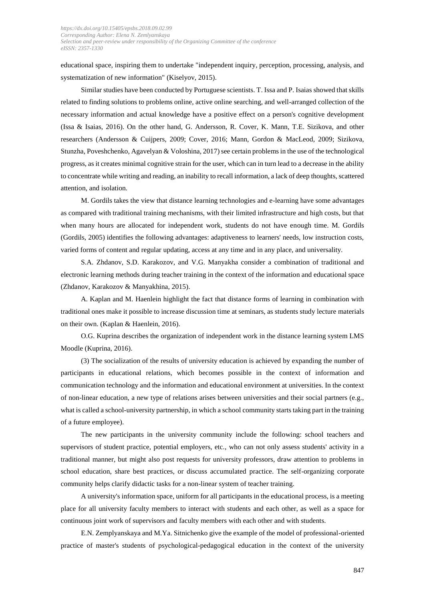educational space, inspiring them to undertake "independent inquiry, perception, processing, analysis, and systematization of new information" (Kiselyov, 2015).

Similar studies have been conducted by Portuguese scientists. T. Issa and P. Isaias showed that skills related to finding solutions to problems online, active online searching, and well-arranged collection of the necessary information and actual knowledge have a positive effect on a person's cognitive development (Issa & Isaias, 2016). On the other hand, G. Andersson, R. Cover, K. Mann, T.E. Sizikova, and other researchers (Andersson & Cuijpers, 2009; Cover, 2016; Mann, Gordon & MacLeod, 2009; Sizikova, Stunzha, Poveshchenko, Agavelyan & Voloshina, 2017) see certain problems in the use of the technological progress, as it creates minimal cognitive strain for the user, which can in turn lead to a decrease in the ability to concentrate while writing and reading, an inability to recall information, a lack of deep thoughts, scattered attention, and isolation.

M. Gordils takes the view that distance learning technologies and e-learning have some advantages as compared with traditional training mechanisms, with their limited infrastructure and high costs, but that when many hours are allocated for independent work, students do not have enough time. M. Gordils (Gordils, 2005) identifies the following advantages: adaptiveness to learners' needs, low instruction costs, varied forms of content and regular updating, access at any time and in any place, and universality.

S.A. Zhdanov, S.D. Karakozov, and V.G. Manyakha consider a combination of traditional and electronic learning methods during teacher training in the context of the information and educational space (Zhdanov, Karakozov & Manyakhina, 2015).

A. Kaplan and M. Haenlein highlight the fact that distance forms of learning in combination with traditional ones make it possible to increase discussion time at seminars, as students study lecture materials on their own. (Kaplan & Haenlein, 2016).

O.G. Kuprina describes the organization of independent work in the distance learning system LMS Moodle (Kuprina, 2016).

(3) The socialization of the results of university education is achieved by expanding the number of participants in educational relations, which becomes possible in the context of information and communication technology and the information and educational environment at universities. In the context of non-linear education, a new type of relations arises between universities and their social partners (e.g., what is called a school-university partnership, in which a school community starts taking part in the training of a future employee).

The new participants in the university community include the following: school teachers and supervisors of student practice, potential employers, etc., who can not only assess students' activity in a traditional manner, but might also post requests for university professors, draw attention to problems in school education, share best practices, or discuss accumulated practice. The self-organizing corporate community helps clarify didactic tasks for a non-linear system of teacher training.

A university's information space, uniform for all participants in the educational process, is a meeting place for all university faculty members to interact with students and each other, as well as a space for continuous joint work of supervisors and faculty members with each other and with students.

E.N. Zemplyanskaya and M.Ya. Sitnichenko give the example of the model of professional-oriented practice of master's students of psychological-pedagogical education in the context of the university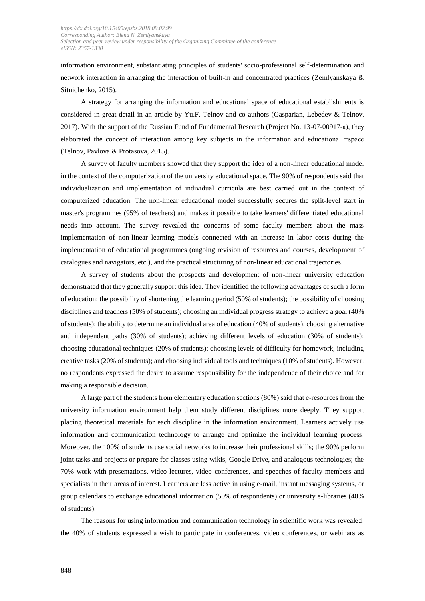information environment, substantiating principles of students' socio-professional self-determination and network interaction in arranging the interaction of built-in and concentrated practices (Zemlyanskaya & Sitnichenko, 2015).

A strategy for arranging the information and educational space of educational establishments is considered in great detail in an article by Yu.F. Telnov and co-authors (Gasparian, Lebedev & Telnov, 2017). With the support of the Russian Fund of Fundamental Research (Project No. 13-07-00917-а), they elaborated the concept of interaction among key subjects in the information and educational ¬space (Telnov, Pavlova & Protasova, 2015).

A survey of faculty members showed that they support the idea of a non-linear educational model in the context of the computerization of the university educational space. The 90% of respondents said that individualization and implementation of individual curricula are best carried out in the context of computerized education. The non-linear educational model successfully secures the split-level start in master's programmes (95% of teachers) and makes it possible to take learners' differentiated educational needs into account. The survey revealed the concerns of some faculty members about the mass implementation of non-linear learning models connected with an increase in labor costs during the implementation of educational programmes (ongoing revision of resources and courses, development of catalogues and navigators, etc.), and the practical structuring of non-linear educational trajectories.

A survey of students about the prospects and development of non-linear university education demonstrated that they generally support this idea. They identified the following advantages of such a form of education: the possibility of shortening the learning period (50% of students); the possibility of choosing disciplines and teachers (50% of students); choosing an individual progress strategy to achieve a goal (40% of students); the ability to determine an individual area of education (40% of students); choosing alternative and independent paths (30% of students); achieving different levels of education (30% of students); choosing educational techniques (20% of students); choosing levels of difficulty for homework, including creative tasks (20% of students); and choosing individual tools and techniques (10% of students). However, no respondents expressed the desire to assume responsibility for the independence of their choice and for making a responsible decision.

A large part of the students from elementary education sections (80%) said that e-resources from the university information environment help them study different disciplines more deeply. They support placing theoretical materials for each discipline in the information environment. Learners actively use information and communication technology to arrange and optimize the individual learning process. Moreover, the 100% of students use social networks to increase their professional skills; the 90% perform joint tasks and projects or prepare for classes using wikis, Google Drive, and analogous technologies; the 70% work with presentations, video lectures, video conferences, and speeches of faculty members and specialists in their areas of interest. Learners are less active in using e-mail, instant messaging systems, or group calendars to exchange educational information (50% of respondents) or university e-libraries (40% of students).

The reasons for using information and communication technology in scientific work was revealed: the 40% of students expressed a wish to participate in conferences, video conferences, or webinars as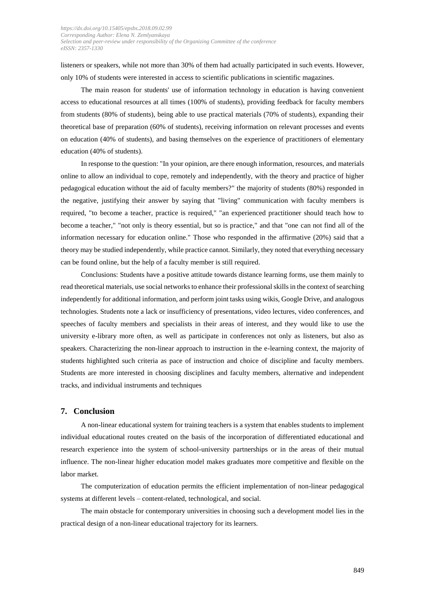listeners or speakers, while not more than 30% of them had actually participated in such events. However, only 10% of students were interested in access to scientific publications in scientific magazines.

The main reason for students' use of information technology in education is having convenient access to educational resources at all times (100% of students), providing feedback for faculty members from students (80% of students), being able to use practical materials (70% of students), expanding their theoretical base of preparation (60% of students), receiving information on relevant processes and events on education (40% of students), and basing themselves on the experience of practitioners of elementary education (40% of students).

In response to the question: "In your opinion, are there enough information, resources, and materials online to allow an individual to cope, remotely and independently, with the theory and practice of higher pedagogical education without the aid of faculty members?" the majority of students (80%) responded in the negative, justifying their answer by saying that "living" communication with faculty members is required, "to become a teacher, practice is required," "an experienced practitioner should teach how to become a teacher," "not only is theory essential, but so is practice," and that "one can not find all of the information necessary for education online." Those who responded in the affirmative (20%) said that a theory may be studied independently, while practice cannot. Similarly, they noted that everything necessary can be found online, but the help of a faculty member is still required.

Conclusions: Students have a positive attitude towards distance learning forms, use them mainly to read theoretical materials, use social networks to enhance their professional skills in the context of searching independently for additional information, and perform joint tasks using wikis, Google Drive, and analogous technologies. Students note a lack or insufficiency of presentations, video lectures, video conferences, and speeches of faculty members and specialists in their areas of interest, and they would like to use the university e-library more often, as well as participate in conferences not only as listeners, but also as speakers. Characterizing the non-linear approach to instruction in the e-learning context, the majority of students highlighted such criteria as pace of instruction and choice of discipline and faculty members. Students are more interested in choosing disciplines and faculty members, alternative and independent tracks, and individual instruments and techniques

#### **7. Conclusion**

A non-linear educational system for training teachers is a system that enables students to implement individual educational routes created on the basis of the incorporation of differentiated educational and research experience into the system of school-university partnerships or in the areas of their mutual influence. The non-linear higher education model makes graduates more competitive and flexible on the labor market.

The computerization of education permits the efficient implementation of non-linear pedagogical systems at different levels – content-related, technological, and social.

The main obstacle for contemporary universities in choosing such a development model lies in the practical design of a non-linear educational trajectory for its learners.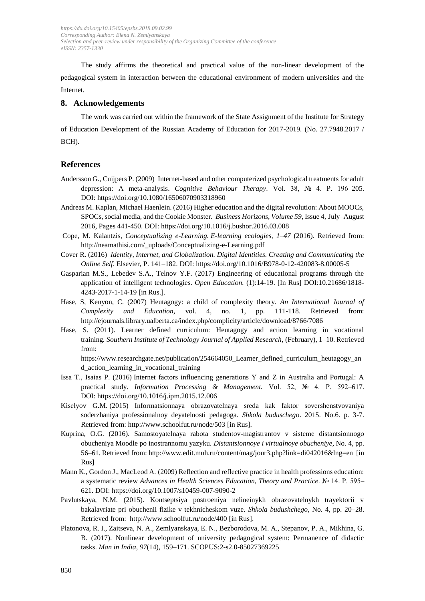The study affirms the theoretical and practical value of the non-linear development of the pedagogical system in interaction between the educational environment of modern universities and the Internet.

#### **8. Acknowledgements**

The work was carried out within the framework of the State Assignment of the Institute for Strategy of Education Development of the Russian Academy of Education for 2017-2019. (No. 27.7948.2017 / BCH).

#### **References**

- Andersson G., Cuijpers P. (2009) Internet-based and other computerized psychological treatments for adult depression: A meta-analysis. *Cognitive Behaviour Therapy*. Vol. 38, № 4. P. 196–205. DOI: <https://doi.org/10.1080/16506070903318960>
- Andreas M. Kaplan, Michael Haenlein. (2016) Higher education and the digital revolution: About MOOCs, SPOCs, social media, and the Cookie Monster. *Business Horizons, Volume 59,* Issue 4, July–August 2016, Pages 441-450. DOI[: https://doi.org/10.1016/j.bushor.2016.03.008](https://doi.org/10.1016/j.bushor.2016.03.008)
- Cope, M. Kalantzis, *Conceptualizing e-Learning. E-learning ecologies, 1–47* (2016). Retrieved from: [http://neamathisi.com/\\_uploads/Conceptualizing-e-Learning.pdf](http://neamathisi.com/_uploads/Conceptualizing-e-Learning.pdf)
- Cover R. (2016) *Identity, Internet, and Globalization. Digital Identities. Creating and Communicating the Online Self*. Elsevier, P. 141–182. DOI: <https://doi.org/10.1016/B978-0-12-420083-8.00005-5>
- Gasparian M.S., Lebedev S.A., Telnov Y.F. (2017) Engineering of educational programs through the application of intelligent technologies. *Open Education.* (1):14-19. [In Rus] DOI:10.21686/1818- 4243-2017-1-14-19 [in Rus.].
- Hase, S, Kenyon, C. (2007) Heutagogy: a child of complexity theory. *An International Journal of Complexity and Education,* vol. 4, no. 1, pp. 111-118. Retrieved from: <http://ejournals.library.ualberta.ca/index.php/complicity/article/download/8766/7086>
- Hase, S. (2011). Learner defined curriculum: Heutagogy and action learning in vocational training*. Southern Institute of Technology Journal of Applied Research,* (February), 1–10. Retrieved from:

[https://www.researchgate.net/publication/254664050\\_Learner\\_defined\\_curriculum\\_heutagogy\\_an](https://www.researchgate.net/publication/254664050_Learner_defined_curriculum_heutagogy_and_action_learning_in_vocational_training) [d\\_action\\_learning\\_in\\_vocational\\_training](https://www.researchgate.net/publication/254664050_Learner_defined_curriculum_heutagogy_and_action_learning_in_vocational_training)

- Issa T., Isaias P. (2016) Internet factors influencing generations Y and Z in Australia and Portugal: A practical study. *Information Processing & Management.* Vol. 52, № 4. P. 592–617. DOI: <https://doi.org/10.1016/j.ipm.2015.12.006>
- Kiselyov G.M. (2015) Informatsionnaya obrazovatelnaya sreda kak faktor sovershenstvovaniya soderzhaniya professionalnoy deyatelnosti pedagoga. *Shkola buduschego*. 2015. No.6. p. 3-7. Retrieved from:<http://www.schoolfut.ru/node/503> [in Rus].
- Kuprina, O.G. (2016). Samostoyatelnaya rabota studentov-magistrantov v sisteme distantsionnogo obucheniya Moodle po inostrannomu yazyku*. Distantsionnoye i virtualnoye obucheniye*, No. 4, pp. 56–61. Retrieved from[: http://www.edit.muh.ru/content/mag/jour3.php?link=di042016&lng=en](http://www.edit.muh.ru/content/mag/jour3.php?link=di042016&lng=en) [in Rus]
- Mann K., Gordon J., MacLeod A. (2009) Reflection and reflective practice in health professions education: a systematic review *Advances in Health Sciences Education, Theory and Practice*. № 14. P. 595– 621. DOI: <https://doi.org/10.1007/s10459-007-9090-2>
- Pavlutskaya, N.M. (2015). Kontseptsiya postroeniya nelineinykh obrazovatelnykh trayektorii v bakalavriate pri obuchenii fizike v tekhnicheskom vuze. *Shkola budushchego,* No. 4, pp. 20–28. Retrieved from: <http://www.schoolfut.ru/node/400> [in Rus].
- Platonova, R. I., Zaitseva, N. A., Zemlyanskaya, E. N., Bezborodova, M. A., Stepanov, P. A., Mikhina, G. B. (2017). Nonlinear development of university pedagogical system: Permanence of didactic tasks. *Man in India*, *97*(14), 159–171. SCOPUS:2-s2.0-85027369225